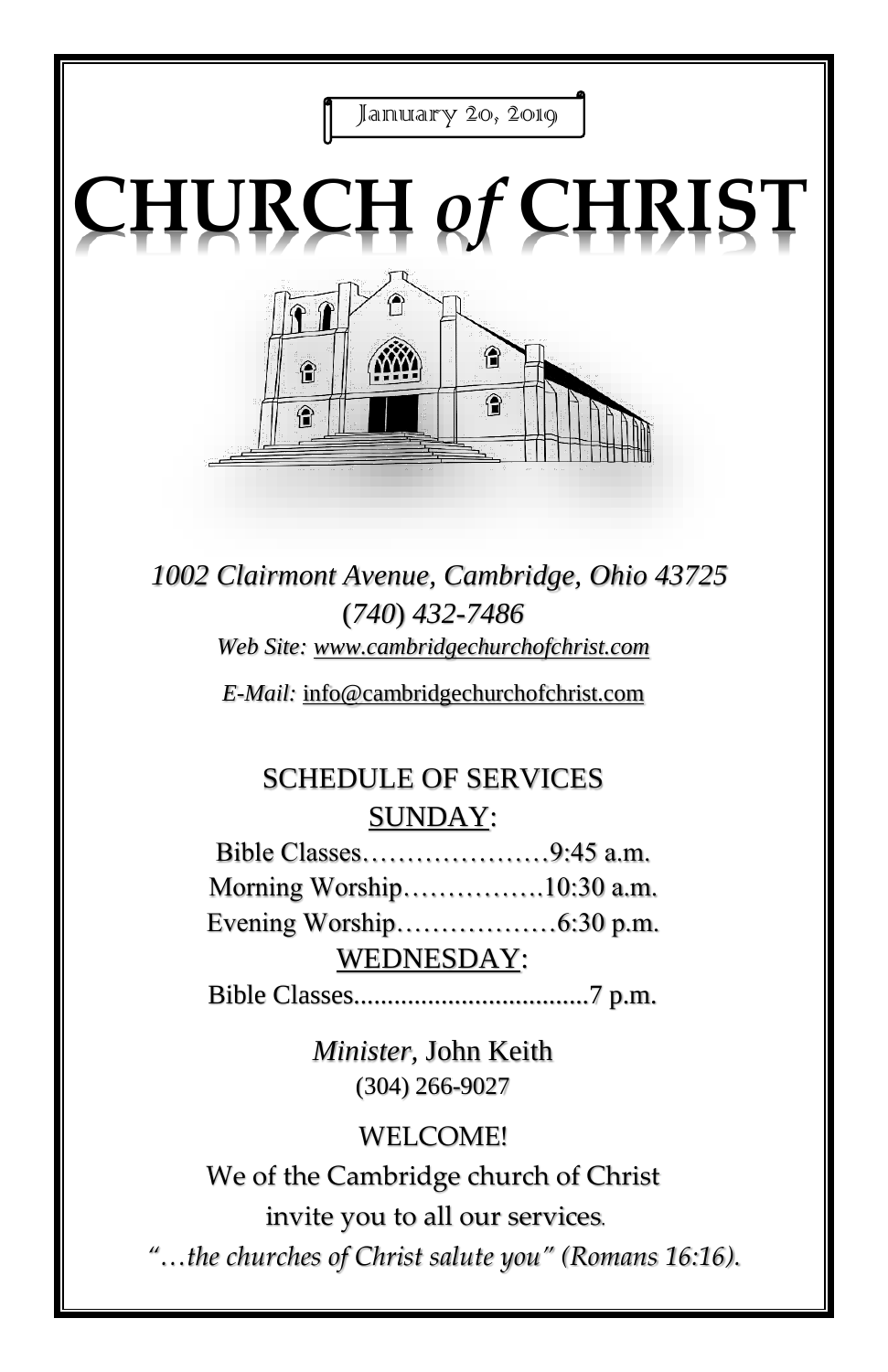

*1002 Clairmont Avenue, Cambridge, Ohio 43725* (*740*) *432-7486 Web Site: www.cambridgechurchofchrist.com*

*E-Mail:* info@cambridgechurchofchrist.com

## SCHEDULE OF SERVICES SUNDAY:

Bible Classes…………………9:45 a.m. Morning Worship…………….10:30 a.m. Evening Worship………………6:30 p.m. WEDNESDAY:

Bible Classes...................................7 p.m.

*Minister,* John Keith (304) 266-9027

#### WELCOME!

We of the Cambridge church of Christ invite you to all our services*.*

*"…the churches of Christ salute you" (Romans 16:16).*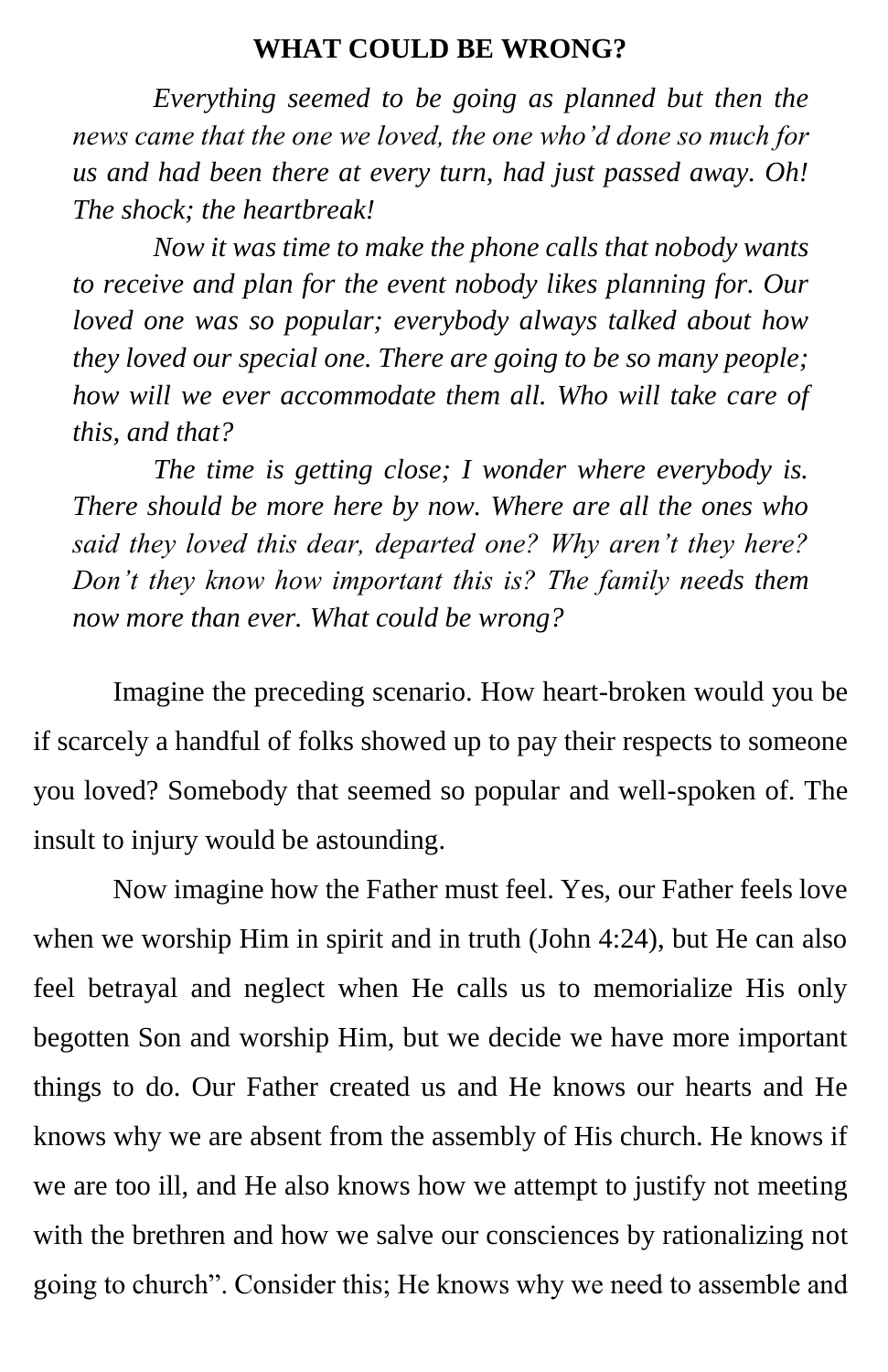#### **WHAT COULD BE WRONG?**

*Everything seemed to be going as planned but then the news came that the one we loved, the one who'd done so much for us and had been there at every turn, had just passed away. Oh! The shock; the heartbreak!* 

*Now it was time to make the phone calls that nobody wants to receive and plan for the event nobody likes planning for. Our loved one was so popular; everybody always talked about how they loved our special one. There are going to be so many people; how will we ever accommodate them all. Who will take care of this, and that?* 

*The time is getting close; I wonder where everybody is. There should be more here by now. Where are all the ones who said they loved this dear, departed one? Why aren't they here? Don't they know how important this is? The family needs them now more than ever. What could be wrong?*

Imagine the preceding scenario. How heart-broken would you be if scarcely a handful of folks showed up to pay their respects to someone you loved? Somebody that seemed so popular and well-spoken of. The insult to injury would be astounding.

Now imagine how the Father must feel. Yes, our Father feels love when we worship Him in spirit and in truth (John 4:24), but He can also feel betrayal and neglect when He calls us to memorialize His only begotten Son and worship Him, but we decide we have more important things to do. Our Father created us and He knows our hearts and He knows why we are absent from the assembly of His church. He knows if we are too ill, and He also knows how we attempt to justify not meeting with the brethren and how we salve our consciences by rationalizing not going to church". Consider this; He knows why we need to assemble and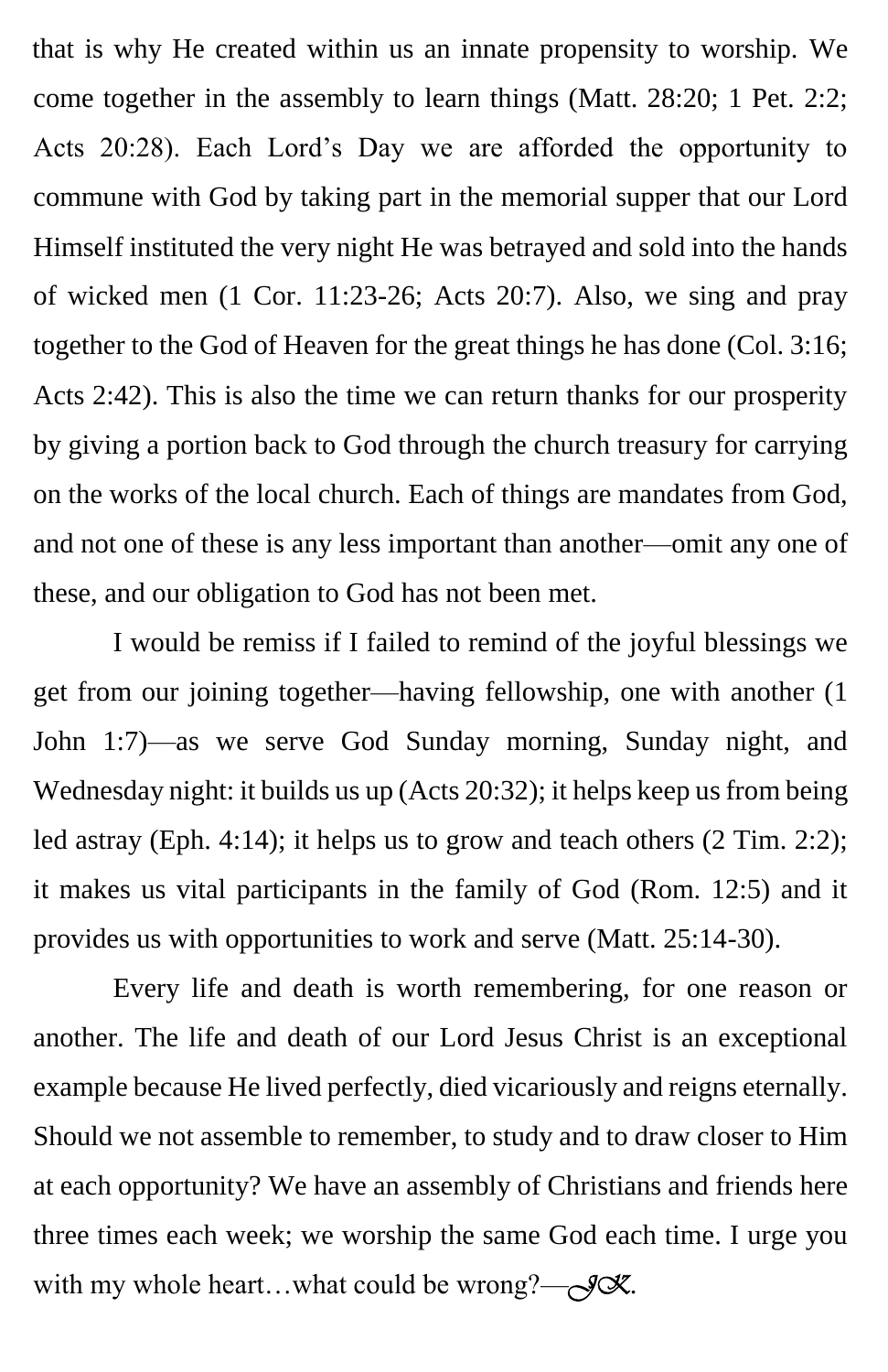that is why He created within us an innate propensity to worship. We come together in the assembly to learn things (Matt. 28:20; 1 Pet. 2:2; Acts 20:28). Each Lord's Day we are afforded the opportunity to commune with God by taking part in the memorial supper that our Lord Himself instituted the very night He was betrayed and sold into the hands of wicked men (1 Cor. 11:23-26; Acts 20:7). Also, we sing and pray together to the God of Heaven for the great things he has done (Col. 3:16; Acts 2:42). This is also the time we can return thanks for our prosperity by giving a portion back to God through the church treasury for carrying on the works of the local church. Each of things are mandates from God, and not one of these is any less important than another—omit any one of these, and our obligation to God has not been met.

I would be remiss if I failed to remind of the joyful blessings we get from our joining together—having fellowship, one with another (1 John 1:7)—as we serve God Sunday morning, Sunday night, and Wednesday night: it builds us up (Acts 20:32); it helps keep us from being led astray (Eph. 4:14); it helps us to grow and teach others (2 Tim. 2:2); it makes us vital participants in the family of God (Rom. 12:5) and it provides us with opportunities to work and serve (Matt. 25:14-30).

Every life and death is worth remembering, for one reason or another. The life and death of our Lord Jesus Christ is an exceptional example because He lived perfectly, died vicariously and reigns eternally. Should we not assemble to remember, to study and to draw closer to Him at each opportunity? We have an assembly of Christians and friends here three times each week; we worship the same God each time. I urge you with my whole heart...what could be wrong?—*J*X.